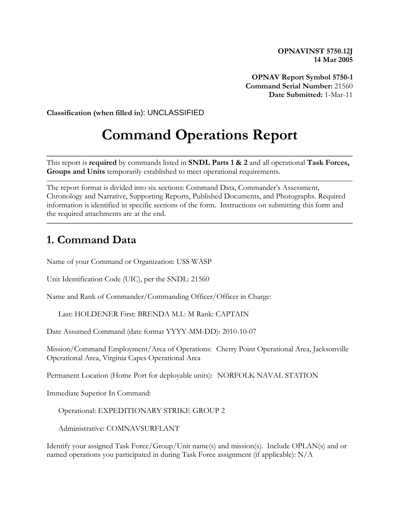**OPNAVINST 5750.12J 14 Mar 2005**

**OPNAV Report Symbol 5750-1 Command Serial Number:** 21560 **Date Submitted:** 1-Mar-11

**Classification (when filled in**): UNCLASSIFIED

# **Command Operations Report**

This report is **required** by commands listed in **SNDL Parts 1 & 2** and all operational **Task Forces, Groups and Units** temporarily established to meet operational requirements.

The report format is divided into six sections: Command Data, Commander's Assessment, Chronology and Narrative, Supporting Reports, Published Documents, and Photographs. Required information is identified in specific sections of the form. Instructions on submitting this form and the required attachments are at the end.

#### **1. Command Data**

Name of your Command or Organization: USS WASP

Unit Identification Code (UIC), per the SNDL: 21560

Name and Rank of Commander/Commanding Officer/Officer in Charge:

Last: HOLDENER First: BRENDA M.I.: M Rank: CAPTAIN

Date Assumed Command (date format YYYY-MM-DD): 2010-10-07

Mission/Command Employment/Area of Operations: Cherry Point Operational Area, Jacksonville Operational Area, Virginia Capes Operational Area

Permanent Location (Home Port for deployable units): NORFOLK NAVAL STATION

Immediate Superior In Command:

Operational: EXPEDITIONARY STRIKE GROUP 2

Administrative: COMNAVSURFLANT

Identify your assigned Task Force/Group/Unit name(s) and mission(s). Include OPLAN(s) and or named operations you participated in during Task Force assignment (if applicable): N/A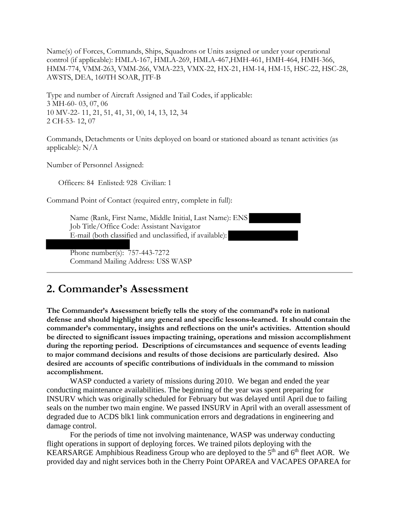Name(s) of Forces, Commands, Ships, Squadrons or Units assigned or under your operational control (if applicable): HMLA-167, HMLA-269, HMLA-467,HMH-461, HMH-464, HMH-366, HMM-774, VMM-263, VMM-266, VMA-223, VMX-22, HX-21, HM-14, HM-15, HSC-22, HSC-28, AWSTS, DEA, 160TH SOAR, JTF-B

Type and number of Aircraft Assigned and Tail Codes, if applicable: 3 MH-60- 03, 07, 06 10 MV-22- 11, 21, 51, 41, 31, 00, 14, 13, 12, 34 2 CH-53- 12, 07

Commands, Detachments or Units deployed on board or stationed aboard as tenant activities (as applicable):  $N/A$ 

Number of Personnel Assigned:

Officers: 84 Enlisted: 928 Civilian: 1

Command Point of Contact (required entry, complete in full):

Name (Rank, First Name, Middle Initial, Last Name): ENS Job Title/Office Code: Assistant Navigator E-mail (both classified and unclassified, if available):

 Phone number(s): 757-443-7272 Command Mailing Address: USS WASP

#### **2. Commander's Assessment**

**The Commander's Assessment briefly tells the story of the command's role in national defense and should highlight any general and specific lessons-learned. It should contain the commander's commentary, insights and reflections on the unit's activities. Attention should be directed to significant issues impacting training, operations and mission accomplishment during the reporting period. Descriptions of circumstances and sequence of events leading to major command decisions and results of those decisions are particularly desired. Also desired are accounts of specific contributions of individuals in the command to mission accomplishment.**

WASP conducted a variety of missions during 2010. We began and ended the year conducting maintenance availabilities. The beginning of the year was spent preparing for INSURV which was originally scheduled for February but was delayed until April due to failing seals on the number two main engine. We passed INSURV in April with an overall assessment of degraded due to ACDS blk1 link communication errors and degradations in engineering and damage control.

For the periods of time not involving maintenance, WASP was underway conducting flight operations in support of deploying forces. We trained pilots deploying with the KEARSARGE Amphibious Readiness Group who are deployed to the 5<sup>th</sup> and 6<sup>th</sup> fleet AOR. We provided day and night services both in the Cherry Point OPAREA and VACAPES OPAREA for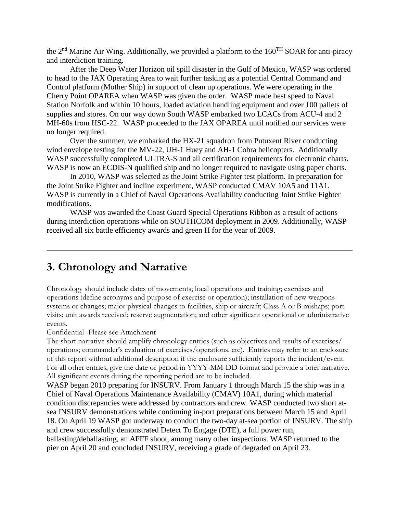the 2nd Marine Air Wing. Additionally, we provided a platform to the 160TH SOAR for anti-piracy and interdiction training.

After the Deep Water Horizon oil spill disaster in the Gulf of Mexico, WASP was ordered to head to the JAX Operating Area to wait further tasking as a potential Central Command and Control platform (Mother Ship) in support of clean up operations. We were operating in the Cherry Point OPAREA when WASP was given the order. WASP made best speed to Naval Station Norfolk and within 10 hours, loaded aviation handling equipment and over 100 pallets of supplies and stores. On our way down South WASP embarked two LCACs from ACU-4 and 2 MH-60s from HSC-22. WASP proceeded to the JAX OPAREA until notified our services were no longer required.

Over the summer, we embarked the HX-21 squadron from Putuxent River conducting wind envelope testing for the MV-22, UH-1 Huey and AH-1 Cobra helicopters. Additionally WASP successfully completed ULTRA-S and all certification requirements for electronic charts. WASP is now an ECDIS-N qualified ship and no longer required to navigate using paper charts.

In 2010, WASP was selected as the Joint Strike Fighter test platform. In preparation for the Joint Strike Fighter and incline experiment, WASP conducted CMAV 10A5 and 11A1. WASP is currently in a Chief of Naval Operations Availability conducting Joint Strike Fighter modifications.

WASP was awarded the Coast Guard Special Operations Ribbon as a result of actions during interdiction operations while on SOUTHCOM deployment in 2009. Additionally, WASP received all six battle efficiency awards and green H for the year of 2009.

#### **3. Chronology and Narrative**

Chronology should include dates of movements; local operations and training; exercises and operations (define acronyms and purpose of exercise or operation); installation of new weapons systems or changes; major physical changes to facilities, ship or aircraft; Class A or B mishaps; port visits; unit awards received; reserve augmentation; and other significant operational or administrative events.

Confidential- Please see Attachment

The short narrative should amplify chronology entries (such as objectives and results of exercises/ operations; commander's evaluation of exercises/operations, etc). Entries may refer to an enclosure of this report without additional description if the enclosure sufficiently reports the incident/event. For all other entries, give the date or period in YYYY-MM-DD format and provide a brief narrative. All significant events during the reporting period are to be included.

WASP began 2010 preparing for INSURV. From January 1 through March 15 the ship was in a Chief of Naval Operations Maintenance Availability (CMAV) 10A1, during which material condition discrepancies were addressed by contractors and crew. WASP conducted two short atsea INSURV demonstrations while continuing in-port preparations between March 15 and April 18. On April 19 WASP got underway to conduct the two-day at-sea portion of INSURV. The ship and crew successfully demonstrated Detect To Engage (DTE), a full power run, ballasting/deballasting, an AFFF shoot, among many other inspections. WASP returned to the pier on April 20 and concluded INSURV, receiving a grade of degraded on April 23.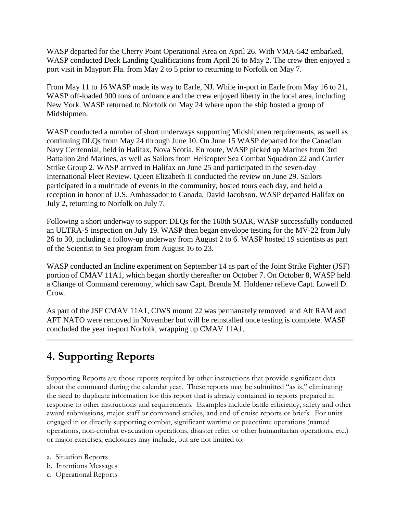WASP departed for the Cherry Point Operational Area on April 26. With VMA-542 embarked, WASP conducted Deck Landing Qualifications from April 26 to May 2. The crew then enjoyed a port visit in Mayport Fla. from May 2 to 5 prior to returning to Norfolk on May 7.

From May 11 to 16 WASP made its way to Earle, NJ. While in-port in Earle from May 16 to 21, WASP off-loaded 900 tons of ordnance and the crew enjoyed liberty in the local area, including New York. WASP returned to Norfolk on May 24 where upon the ship hosted a group of Midshipmen.

WASP conducted a number of short underways supporting Midshipmen requirements, as well as continuing DLQs from May 24 through June 10. On June 15 WASP departed for the Canadian Navy Centennial, held in Halifax, Nova Scotia. En route, WASP picked up Marines from 3rd Battalion 2nd Marines, as well as Sailors from Helicopter Sea Combat Squadron 22 and Carrier Strike Group 2. WASP arrived in Halifax on June 25 and participated in the seven-day International Fleet Review. Queen Elizabeth II conducted the review on June 29. Sailors participated in a multitude of events in the community, hosted tours each day, and held a reception in honor of U.S. Ambassador to Canada, David Jacobson. WASP departed Halifax on July 2, returning to Norfolk on July 7.

Following a short underway to support DLQs for the 160th SOAR, WASP successfully conducted an ULTRA-S inspection on July 19. WASP then began envelope testing for the MV-22 from July 26 to 30, including a follow-up underway from August 2 to 6. WASP hosted 19 scientists as part of the Scientist to Sea program from August 16 to 23.

WASP conducted an Incline experiment on September 14 as part of the Joint Strike Fighter (JSF) portion of CMAV 11A1, which began shortly thereafter on October 7. On October 8, WASP held a Change of Command ceremony, which saw Capt. Brenda M. Holdener relieve Capt. Lowell D. Crow.

As part of the JSF CMAV 11A1, CIWS mount 22 was permanately removed and Aft RAM and AFT NATO were removed in November but will be reinstalled once testing is complete. WASP concluded the year in-port Norfolk, wrapping up CMAV 11A1.

## **4. Supporting Reports**

Supporting Reports are those reports required by other instructions that provide significant data about the command during the calendar year. These reports may be submitted "as is," eliminating the need to duplicate information for this report that is already contained in reports prepared in response to other instructions and requirements. Examples include battle efficiency, safety and other award submissions, major staff or command studies, and end of cruise reports or briefs. For units engaged in or directly supporting combat, significant wartime or peacetime operations (named operations, non-combat evacuation operations, disaster relief or other humanitarian operations, etc.) or major exercises, enclosures may include, but are not limited to:

- a. Situation Reports
- b. Intentions Messages
- c. Operational Reports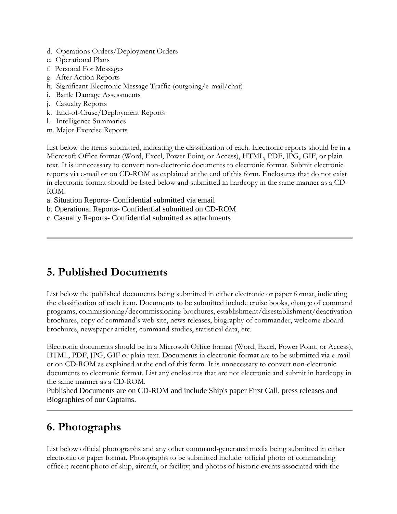- d. Operations Orders/Deployment Orders
- e. Operational Plans
- f. Personal For Messages
- g. After Action Reports
- h. Significant Electronic Message Traffic (outgoing/e-mail/chat)
- i. Battle Damage Assessments
- j. Casualty Reports
- k. End-of-Cruse/Deployment Reports
- l. Intelligence Summaries
- m. Major Exercise Reports

List below the items submitted, indicating the classification of each. Electronic reports should be in a Microsoft Office format (Word, Excel, Power Point, or Access), HTML, PDF, JPG, GIF, or plain text. It is unnecessary to convert non-electronic documents to electronic format. Submit electronic reports via e-mail or on CD-ROM as explained at the end of this form. Enclosures that do not exist in electronic format should be listed below and submitted in hardcopy in the same manner as a CD-ROM.

a. Situation Reports- Confidential submitted via email

b. Operational Reports- Confidential submitted on CD-ROM

c. Casualty Reports- Confidential submitted as attachments

### **5. Published Documents**

List below the published documents being submitted in either electronic or paper format, indicating the classification of each item. Documents to be submitted include cruise books, change of command programs, commissioning/decommissioning brochures, establishment/disestablishment/deactivation brochures, copy of command's web site, news releases, biography of commander, welcome aboard brochures, newspaper articles, command studies, statistical data, etc.

Electronic documents should be in a Microsoft Office format (Word, Excel, Power Point, or Access), HTML, PDF, JPG, GIF or plain text. Documents in electronic format are to be submitted via e-mail or on CD-ROM as explained at the end of this form. It is unnecessary to convert non-electronic documents to electronic format. List any enclosures that are not electronic and submit in hardcopy in the same manner as a CD-ROM.

Published Documents are on CD-ROM and include Ship's paper First Call, press releases and Biographies of our Captains.

## **6. Photographs**

List below official photographs and any other command-generated media being submitted in either electronic or paper format. Photographs to be submitted include: official photo of commanding officer; recent photo of ship, aircraft, or facility; and photos of historic events associated with the